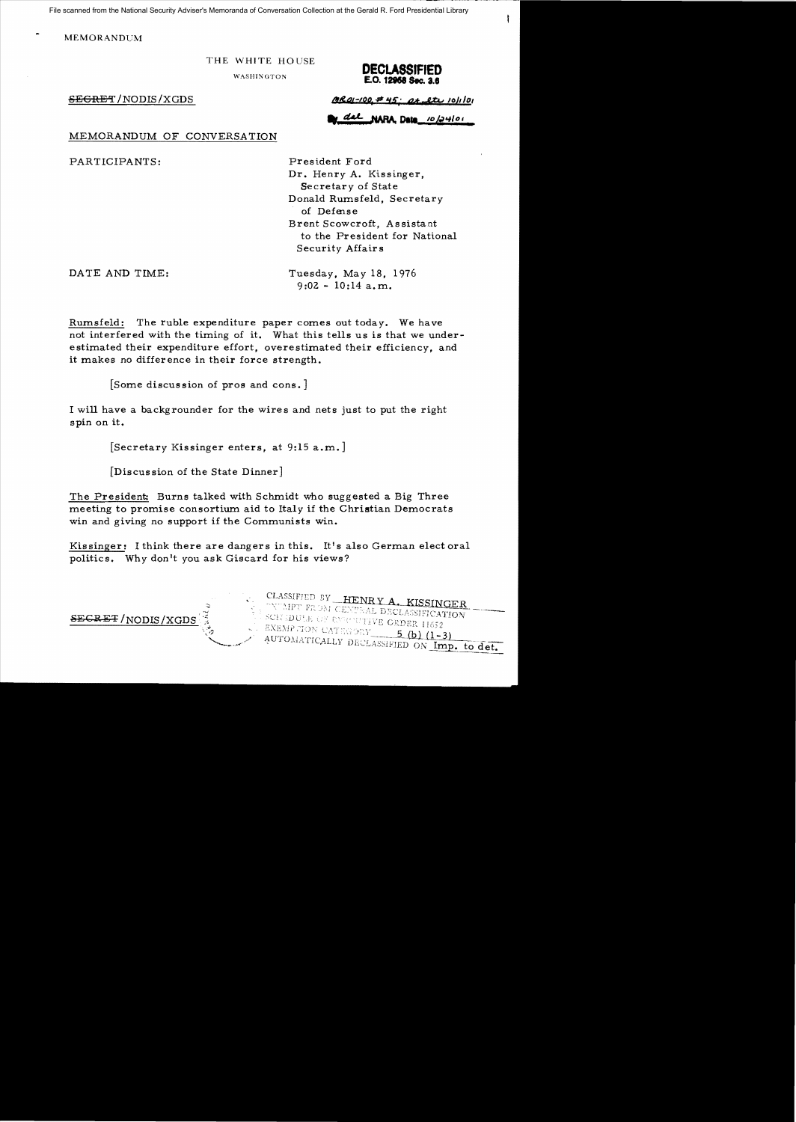File scanned from the National Security Adviser's Memoranda of Conversation Collection at the Gerald R. Ford Presidential Library

**MEMORANDUM** 

## THE WHITE HOUSE



 $\frac{\partial \mathcal{R}}{\partial t - 1}$  /NODIS/XGDS *QRa* $t - 100 + 45$ ;  $\partial t - 24$ , etc. 10/1 *lot* 

NARA Data 10/24/01

MEMORANDUM OF CONVERSATION

PARTICIPANTS: President Ford

Dr. Henry A. Kissinger, Secretary of State Donald Rumsfeld, Secretary of Defense Brent Scowcroft, Assistant to the President for National Security Affairs

DATE AND TIME: Tuesday, May 18, 1976 9:02 - 10:14 a.m.

Rumsfeld: The ruble expenditure paper comes out today. We have not interfered with the timing of it. What this tells us is that we underestimated their expenditure effort, overestimated their efficiency, and it makes no difference in their force strength.

[Some discus sion of pros and cons. ]

I will have a backgrounder for the wires and nets just to put the right spin on it.

[Secretary Kissinger enters, at 9:15 a.m.]

[Discussion of the State Dinner]

The President: Burns talked with Schmidt who suggested a Big Three meeting to promise consortium aid to Italy if the Christian Democrats win and giving no support if the Communists win.

Kissinger: I think there are dangers in this. It's also German elect oral politics. Why don't you ask Giscard for his views?



CLASSIFIED BY HENRY A. KISSINGER TWENT FROM CENTRAL DECLASSIFICATION SCH (DULE OF ENROLLABLE DECLASSIFICAT EXEMPTION CATEGORY  $5$  (b)  $(1-3)$ AUTOMATICALLY DECLASSIFIED ON Imp. to det.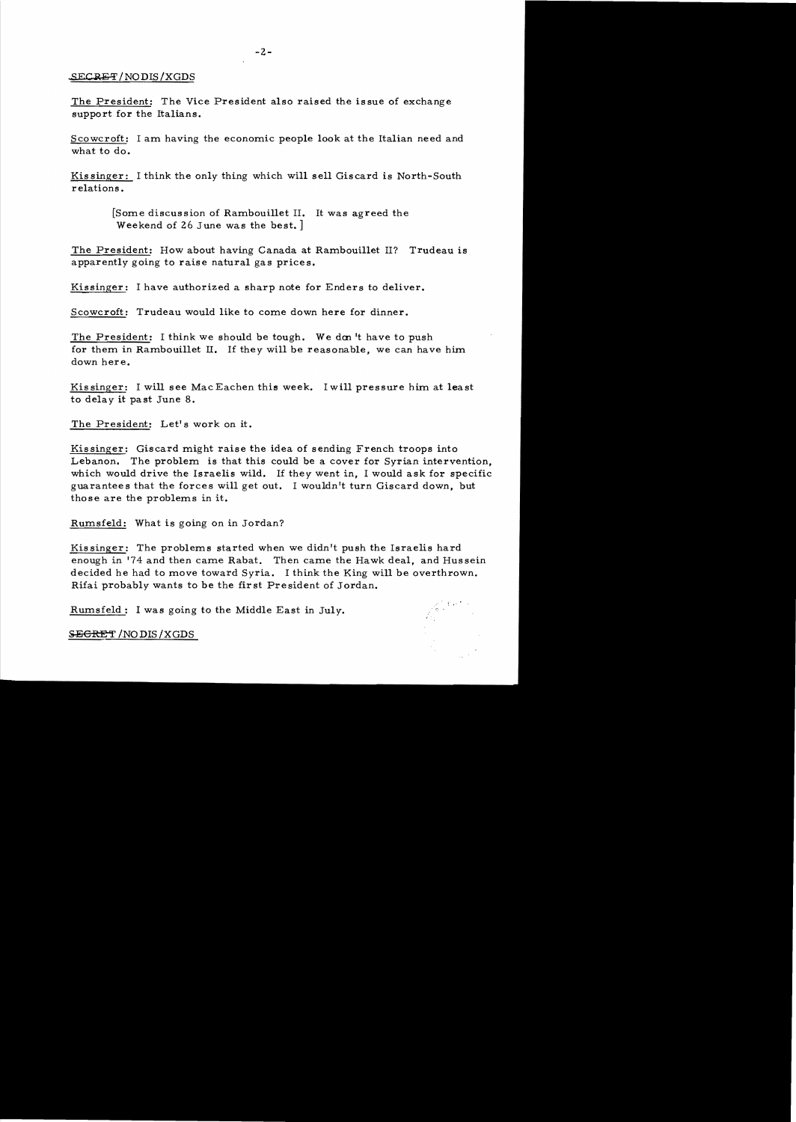## SECRET/NODIS/XGDS

The President: The Vice President also raised the is sue of exchange support for the Italians.

Scowcroft: I am having the economic people look at the Italian need and what to do.

Kis singer: I think the only thing which will sell Giscard is North-South relations.

> [Some discus sion of Rambouillet II. It was agreed the Weekend of 26 June was the best. ]

The President: How about having Canada at Rambouillet II? Trudeau is apparently going to raise natural gas prices.

Kissinger: I have authorized a sharp note for Enders to deliver.

Scowcroft: Trudeau would like to come down here for dinner.

The President: I think we should be tough. We don't have to push for them in Rambouillet II. If they will be reasonable, we can have him down here.

Kis singer: I will see Mac Eachen this week. I will pressure him at least to delay it past June 8.

The President: Let's work on it.

Kissinger: Giscard might raise the idea of sending French troops into Lebanon. The problem is that this could be a cover for Syrian intervention, which would drive the Israelis wild. If they went in, I would ask for specific guarantees that the forces will get out. I wouldn't turn Giscard down, but those are the problems in it.

Rumsfeld: What is going on in Jordan?

Kissinger: The problems started when we didn't push the Israelis hard enough in '74 and then came Rabat. Then came the Hawk deal, and Hussein decided he had to move toward Syria. I think the King will be overthrown. Rifai probably wants to be the first President of Jordan.

Rumsfeld: I was going to the Middle East in July.

SECRET / NODIS / XGDS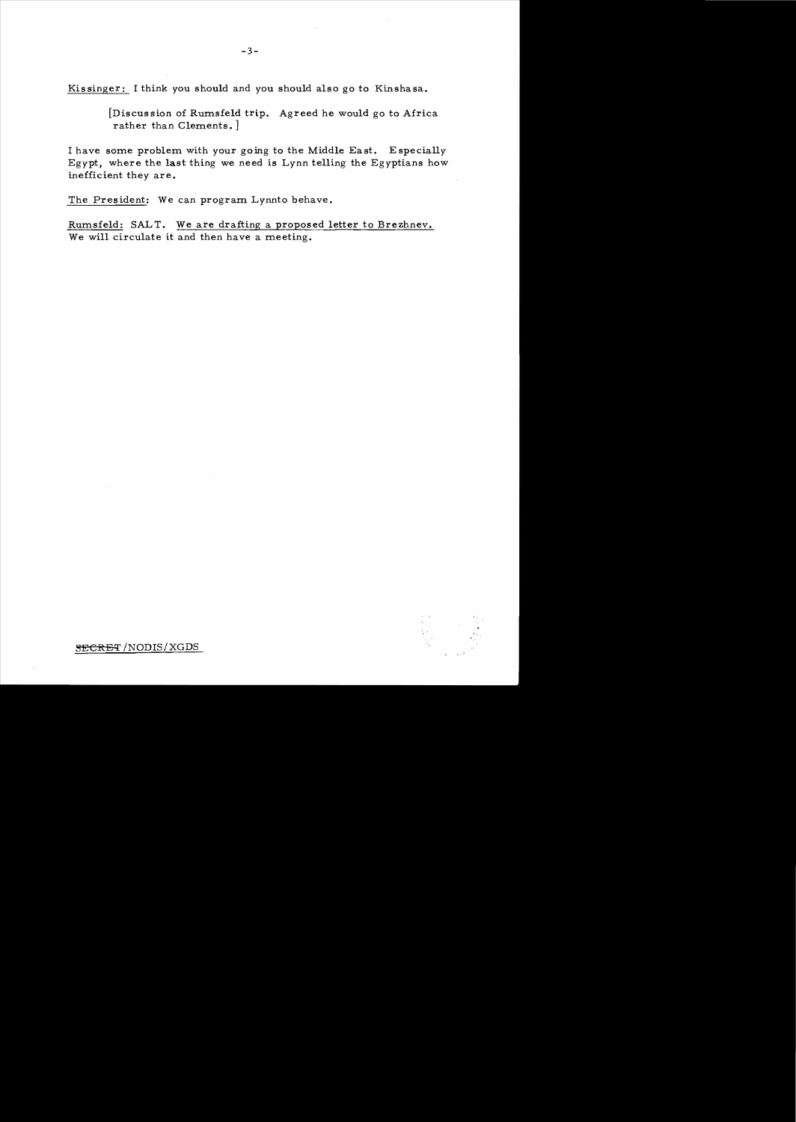Kis singer: I think you should and you should also go to Kinshasa.

[Discussion of Rumsfeld trip. Agreed he would go to Africa rather than Clements. ]

I have some problem with your going to the Middle East. Especially Egypt, where the last thing we need is Lynn telling the Egyptians how inefficient they are.

The President: We can program Lynnto behave.

Rumsfeld: SALT. We are drafting a proposed letter to Brezhnev. We will circulate it and then have a meeting.



 $SECREF/NODIS/XGDS$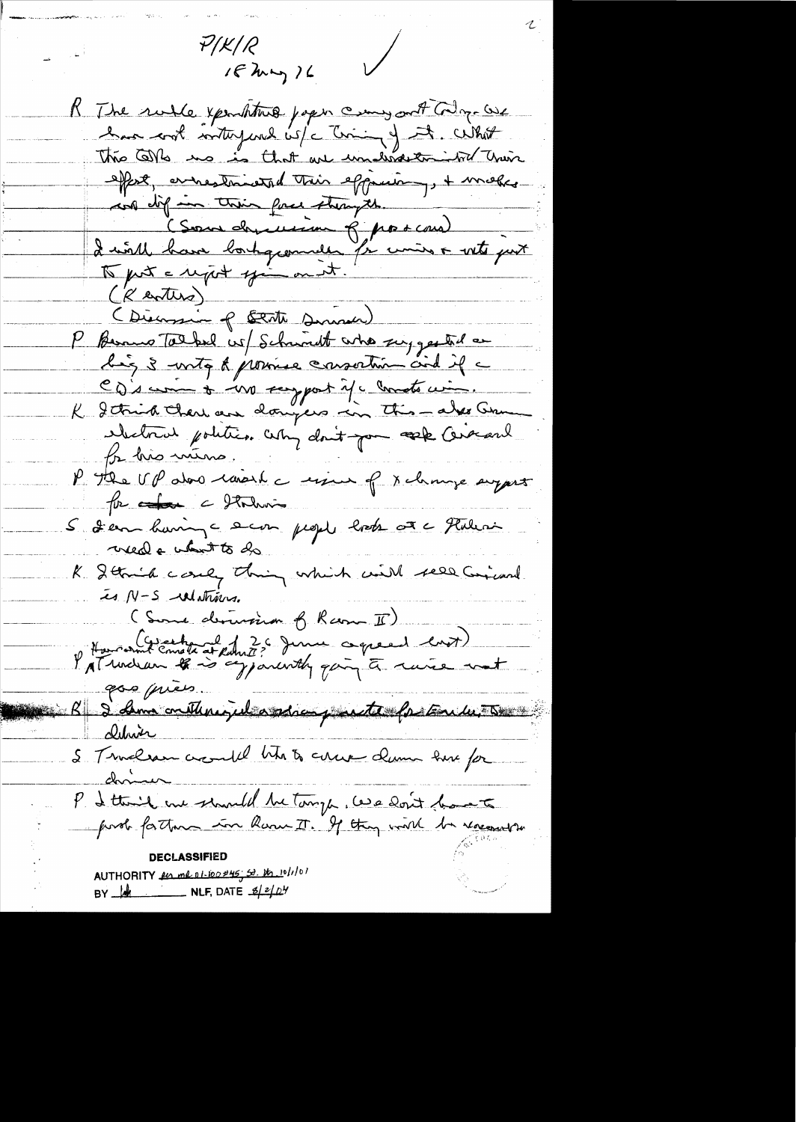$\sqrt{2}$  $P/K/R$  $16$  km  $16$ K The rule youththis paper commy out they we has not interpend is/c tring of it. What This Corls no is that are understanded train effect, arrestoinental Their effection, + makes was diff in their foca strongth. (Sous direction 8 por cour) Luirille basse bortogrommelle fin cinier o vite part  $(K$  entire) (Dienssin of Bent Dinner) P Bernus Tolked us Schwadt who suggested a hig 3 writes to province consortion and if a CD's comme to vive scapport if a conste cinq. K I think there are doingers in this - also Com electrical politics. Why don't you seek Cerecant for his mens. P The UP also carech a since of x change suggest for a forming S 2 em having a sur people look at a Flatenin weed a when to do K Stanich could thing which will see Circul is N-S ulatrius. (Some derussion of Ram II) How out Emate at Robert ? June coppeed ent) gos pries. B & Ama crithrigil assien juste fortule. clurio S Templeau avanté titre à avec dum sur for chris P I think me should be tomp , we don't bank post for them in Rame IT. If they will be recently DECLASSIFIED AUTHORITY for mal 01-100#45, 50. th 10/1/01 BY  $\frac{1}{2}$  NLF, DATE  $\frac{2}{2}$